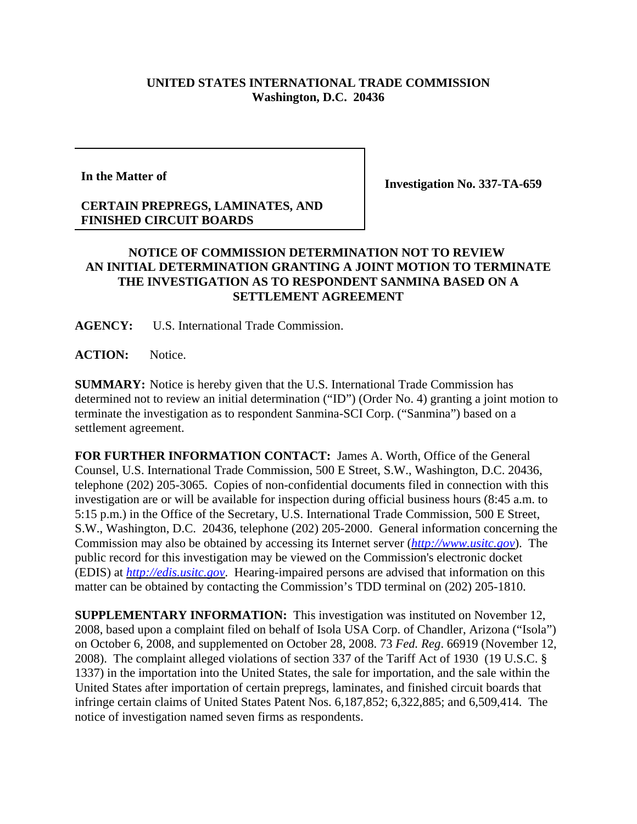## **UNITED STATES INTERNATIONAL TRADE COMMISSION Washington, D.C. 20436**

**In the Matter of**

**Investigation No. 337-TA-659**

## **CERTAIN PREPREGS, LAMINATES, AND FINISHED CIRCUIT BOARDS**

## **NOTICE OF COMMISSION DETERMINATION NOT TO REVIEW AN INITIAL DETERMINATION GRANTING A JOINT MOTION TO TERMINATE THE INVESTIGATION AS TO RESPONDENT SANMINA BASED ON A SETTLEMENT AGREEMENT**

**AGENCY:** U.S. International Trade Commission.

**ACTION:** Notice.

**SUMMARY:** Notice is hereby given that the U.S. International Trade Commission has determined not to review an initial determination ("ID") (Order No. 4) granting a joint motion to terminate the investigation as to respondent Sanmina-SCI Corp. ("Sanmina") based on a settlement agreement.

**FOR FURTHER INFORMATION CONTACT:** James A. Worth, Office of the General Counsel, U.S. International Trade Commission, 500 E Street, S.W., Washington, D.C. 20436, telephone (202) 205-3065. Copies of non-confidential documents filed in connection with this investigation are or will be available for inspection during official business hours (8:45 a.m. to 5:15 p.m.) in the Office of the Secretary, U.S. International Trade Commission, 500 E Street, S.W., Washington, D.C. 20436, telephone (202) 205-2000. General information concerning the Commission may also be obtained by accessing its Internet server (*http://www.usitc.gov*). The public record for this investigation may be viewed on the Commission's electronic docket (EDIS) at *http://edis.usitc.gov*. Hearing-impaired persons are advised that information on this matter can be obtained by contacting the Commission's TDD terminal on (202) 205-1810.

**SUPPLEMENTARY INFORMATION:** This investigation was instituted on November 12, 2008, based upon a complaint filed on behalf of Isola USA Corp. of Chandler, Arizona ("Isola") on October 6, 2008, and supplemented on October 28, 2008. 73 *Fed. Reg*. 66919 (November 12, 2008). The complaint alleged violations of section 337 of the Tariff Act of 1930 (19 U.S.C. § 1337) in the importation into the United States, the sale for importation, and the sale within the United States after importation of certain prepregs, laminates, and finished circuit boards that infringe certain claims of United States Patent Nos. 6,187,852; 6,322,885; and 6,509,414. The notice of investigation named seven firms as respondents.